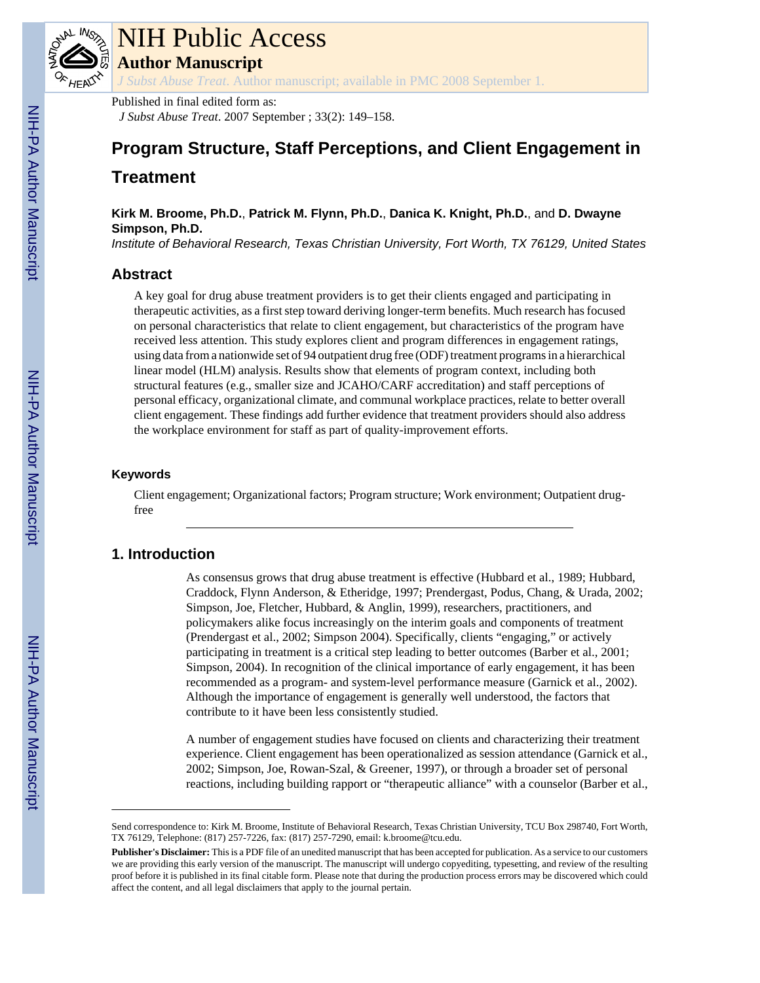

# NIH Public Access

**Author Manuscript**

*J Subst Abuse Treat*. Author manuscript; available in PMC 2008 September 1.

Published in final edited form as: *J Subst Abuse Treat*. 2007 September ; 33(2): 149–158.

# **Program Structure, Staff Perceptions, and Client Engagement in Treatment**

**Kirk M. Broome, Ph.D.**, **Patrick M. Flynn, Ph.D.**, **Danica K. Knight, Ph.D.**, and **D. Dwayne Simpson, Ph.D.**

*Institute of Behavioral Research, Texas Christian University, Fort Worth, TX 76129, United States*

# **Abstract**

A key goal for drug abuse treatment providers is to get their clients engaged and participating in therapeutic activities, as a first step toward deriving longer-term benefits. Much research has focused on personal characteristics that relate to client engagement, but characteristics of the program have received less attention. This study explores client and program differences in engagement ratings, using data from a nationwide set of 94 outpatient drug free (ODF) treatment programs in a hierarchical linear model (HLM) analysis. Results show that elements of program context, including both structural features (e.g., smaller size and JCAHO/CARF accreditation) and staff perceptions of personal efficacy, organizational climate, and communal workplace practices, relate to better overall client engagement. These findings add further evidence that treatment providers should also address the workplace environment for staff as part of quality-improvement efforts.

### **Keywords**

Client engagement; Organizational factors; Program structure; Work environment; Outpatient drugfree

# **1. Introduction**

As consensus grows that drug abuse treatment is effective (Hubbard et al., 1989; Hubbard, Craddock, Flynn Anderson, & Etheridge, 1997; Prendergast, Podus, Chang, & Urada, 2002; Simpson, Joe, Fletcher, Hubbard, & Anglin, 1999), researchers, practitioners, and policymakers alike focus increasingly on the interim goals and components of treatment (Prendergast et al., 2002; Simpson 2004). Specifically, clients "engaging," or actively participating in treatment is a critical step leading to better outcomes (Barber et al., 2001; Simpson, 2004). In recognition of the clinical importance of early engagement, it has been recommended as a program- and system-level performance measure (Garnick et al., 2002). Although the importance of engagement is generally well understood, the factors that contribute to it have been less consistently studied.

A number of engagement studies have focused on clients and characterizing their treatment experience. Client engagement has been operationalized as session attendance (Garnick et al., 2002; Simpson, Joe, Rowan-Szal, & Greener, 1997), or through a broader set of personal reactions, including building rapport or "therapeutic alliance" with a counselor (Barber et al.,

Send correspondence to: Kirk M. Broome, Institute of Behavioral Research, Texas Christian University, TCU Box 298740, Fort Worth, TX 76129, Telephone: (817) 257-7226, fax: (817) 257-7290, email: k.broome@tcu.edu.

**Publisher's Disclaimer:** This is a PDF file of an unedited manuscript that has been accepted for publication. As a service to our customers we are providing this early version of the manuscript. The manuscript will undergo copyediting, typesetting, and review of the resulting proof before it is published in its final citable form. Please note that during the production process errors may be discovered which could affect the content, and all legal disclaimers that apply to the journal pertain.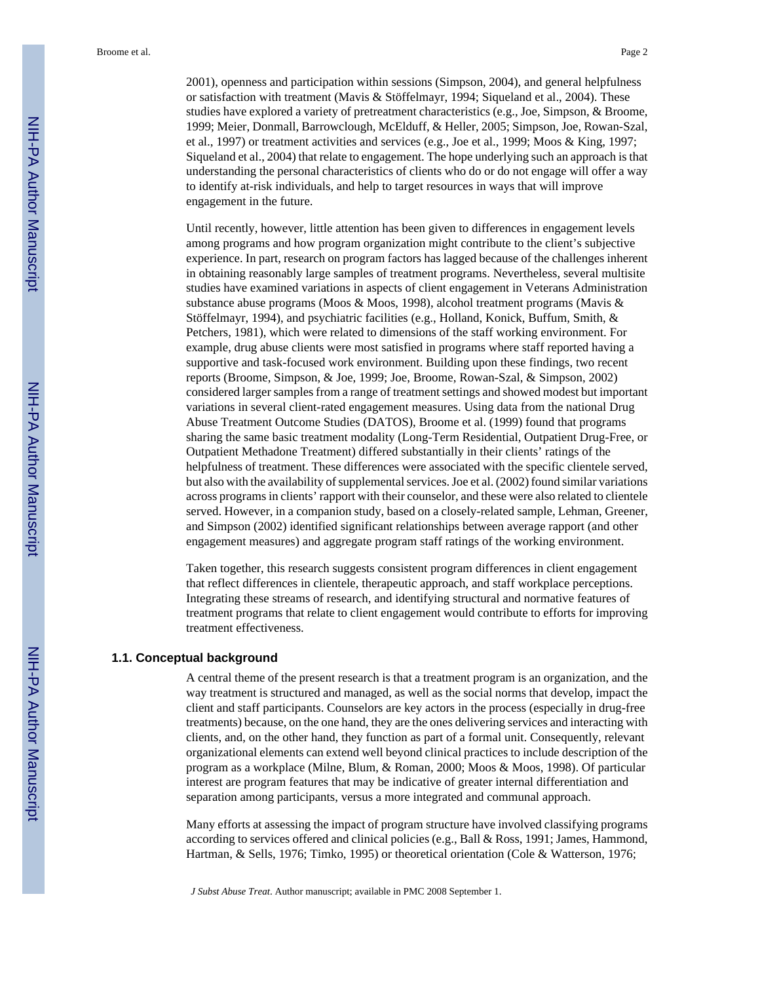Broome et al. Page 2

2001), openness and participation within sessions (Simpson, 2004), and general helpfulness or satisfaction with treatment (Mavis & Stöffelmayr, 1994; Siqueland et al., 2004). These studies have explored a variety of pretreatment characteristics (e.g., Joe, Simpson, & Broome, 1999; Meier, Donmall, Barrowclough, McElduff, & Heller, 2005; Simpson, Joe, Rowan-Szal, et al., 1997) or treatment activities and services (e.g., Joe et al., 1999; Moos & King, 1997; Siqueland et al., 2004) that relate to engagement. The hope underlying such an approach is that understanding the personal characteristics of clients who do or do not engage will offer a way to identify at-risk individuals, and help to target resources in ways that will improve engagement in the future.

Until recently, however, little attention has been given to differences in engagement levels among programs and how program organization might contribute to the client's subjective experience. In part, research on program factors has lagged because of the challenges inherent in obtaining reasonably large samples of treatment programs. Nevertheless, several multisite studies have examined variations in aspects of client engagement in Veterans Administration substance abuse programs (Moos & Moos, 1998), alcohol treatment programs (Mavis & Stöffelmayr, 1994), and psychiatric facilities (e.g., Holland, Konick, Buffum, Smith, & Petchers, 1981), which were related to dimensions of the staff working environment. For example, drug abuse clients were most satisfied in programs where staff reported having a supportive and task-focused work environment. Building upon these findings, two recent reports (Broome, Simpson, & Joe, 1999; Joe, Broome, Rowan-Szal, & Simpson, 2002) considered larger samples from a range of treatment settings and showed modest but important variations in several client-rated engagement measures. Using data from the national Drug Abuse Treatment Outcome Studies (DATOS), Broome et al. (1999) found that programs sharing the same basic treatment modality (Long-Term Residential, Outpatient Drug-Free, or Outpatient Methadone Treatment) differed substantially in their clients' ratings of the helpfulness of treatment. These differences were associated with the specific clientele served, but also with the availability of supplemental services. Joe et al. (2002) found similar variations across programs in clients' rapport with their counselor, and these were also related to clientele served. However, in a companion study, based on a closely-related sample, Lehman, Greener, and Simpson (2002) identified significant relationships between average rapport (and other engagement measures) and aggregate program staff ratings of the working environment.

Taken together, this research suggests consistent program differences in client engagement that reflect differences in clientele, therapeutic approach, and staff workplace perceptions. Integrating these streams of research, and identifying structural and normative features of treatment programs that relate to client engagement would contribute to efforts for improving treatment effectiveness.

#### **1.1. Conceptual background**

A central theme of the present research is that a treatment program is an organization, and the way treatment is structured and managed, as well as the social norms that develop, impact the client and staff participants. Counselors are key actors in the process (especially in drug-free treatments) because, on the one hand, they are the ones delivering services and interacting with clients, and, on the other hand, they function as part of a formal unit. Consequently, relevant organizational elements can extend well beyond clinical practices to include description of the program as a workplace (Milne, Blum, & Roman, 2000; Moos & Moos, 1998). Of particular interest are program features that may be indicative of greater internal differentiation and separation among participants, versus a more integrated and communal approach.

Many efforts at assessing the impact of program structure have involved classifying programs according to services offered and clinical policies (e.g., Ball & Ross, 1991; James, Hammond, Hartman, & Sells, 1976; Timko, 1995) or theoretical orientation (Cole & Watterson, 1976;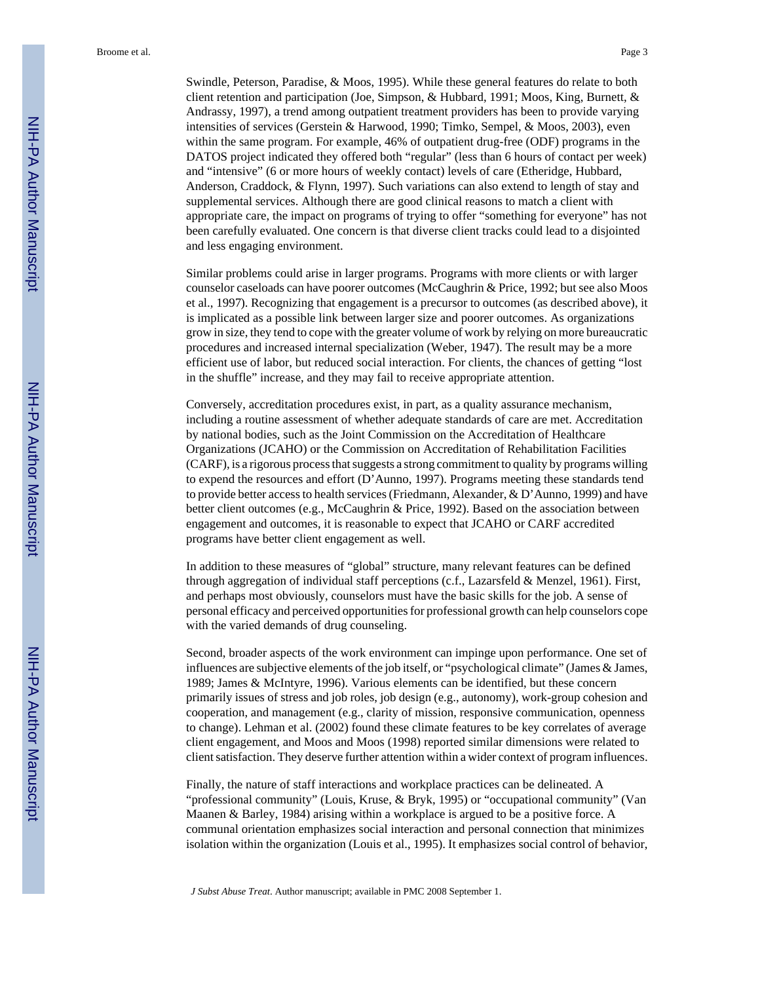Swindle, Peterson, Paradise, & Moos, 1995). While these general features do relate to both client retention and participation (Joe, Simpson, & Hubbard, 1991; Moos, King, Burnett, & Andrassy, 1997), a trend among outpatient treatment providers has been to provide varying intensities of services (Gerstein & Harwood, 1990; Timko, Sempel, & Moos, 2003), even within the same program. For example, 46% of outpatient drug-free (ODF) programs in the DATOS project indicated they offered both "regular" (less than 6 hours of contact per week) and "intensive" (6 or more hours of weekly contact) levels of care (Etheridge, Hubbard, Anderson, Craddock, & Flynn, 1997). Such variations can also extend to length of stay and supplemental services. Although there are good clinical reasons to match a client with appropriate care, the impact on programs of trying to offer "something for everyone" has not been carefully evaluated. One concern is that diverse client tracks could lead to a disjointed and less engaging environment.

Similar problems could arise in larger programs. Programs with more clients or with larger counselor caseloads can have poorer outcomes (McCaughrin & Price, 1992; but see also Moos et al., 1997). Recognizing that engagement is a precursor to outcomes (as described above), it is implicated as a possible link between larger size and poorer outcomes. As organizations grow in size, they tend to cope with the greater volume of work by relying on more bureaucratic procedures and increased internal specialization (Weber, 1947). The result may be a more efficient use of labor, but reduced social interaction. For clients, the chances of getting "lost in the shuffle" increase, and they may fail to receive appropriate attention.

Conversely, accreditation procedures exist, in part, as a quality assurance mechanism, including a routine assessment of whether adequate standards of care are met. Accreditation by national bodies, such as the Joint Commission on the Accreditation of Healthcare Organizations (JCAHO) or the Commission on Accreditation of Rehabilitation Facilities (CARF), is a rigorous process that suggests a strong commitment to quality by programs willing to expend the resources and effort (D'Aunno, 1997). Programs meeting these standards tend to provide better access to health services (Friedmann, Alexander, & D'Aunno, 1999) and have better client outcomes (e.g., McCaughrin & Price, 1992). Based on the association between engagement and outcomes, it is reasonable to expect that JCAHO or CARF accredited programs have better client engagement as well.

In addition to these measures of "global" structure, many relevant features can be defined through aggregation of individual staff perceptions (c.f., Lazarsfeld & Menzel, 1961). First, and perhaps most obviously, counselors must have the basic skills for the job. A sense of personal efficacy and perceived opportunities for professional growth can help counselors cope with the varied demands of drug counseling.

Second, broader aspects of the work environment can impinge upon performance. One set of influences are subjective elements of the job itself, or "psychological climate" (James & James, 1989; James & McIntyre, 1996). Various elements can be identified, but these concern primarily issues of stress and job roles, job design (e.g., autonomy), work-group cohesion and cooperation, and management (e.g., clarity of mission, responsive communication, openness to change). Lehman et al. (2002) found these climate features to be key correlates of average client engagement, and Moos and Moos (1998) reported similar dimensions were related to client satisfaction. They deserve further attention within a wider context of program influences.

Finally, the nature of staff interactions and workplace practices can be delineated. A "professional community" (Louis, Kruse, & Bryk, 1995) or "occupational community" (Van Maanen & Barley, 1984) arising within a workplace is argued to be a positive force. A communal orientation emphasizes social interaction and personal connection that minimizes isolation within the organization (Louis et al., 1995). It emphasizes social control of behavior,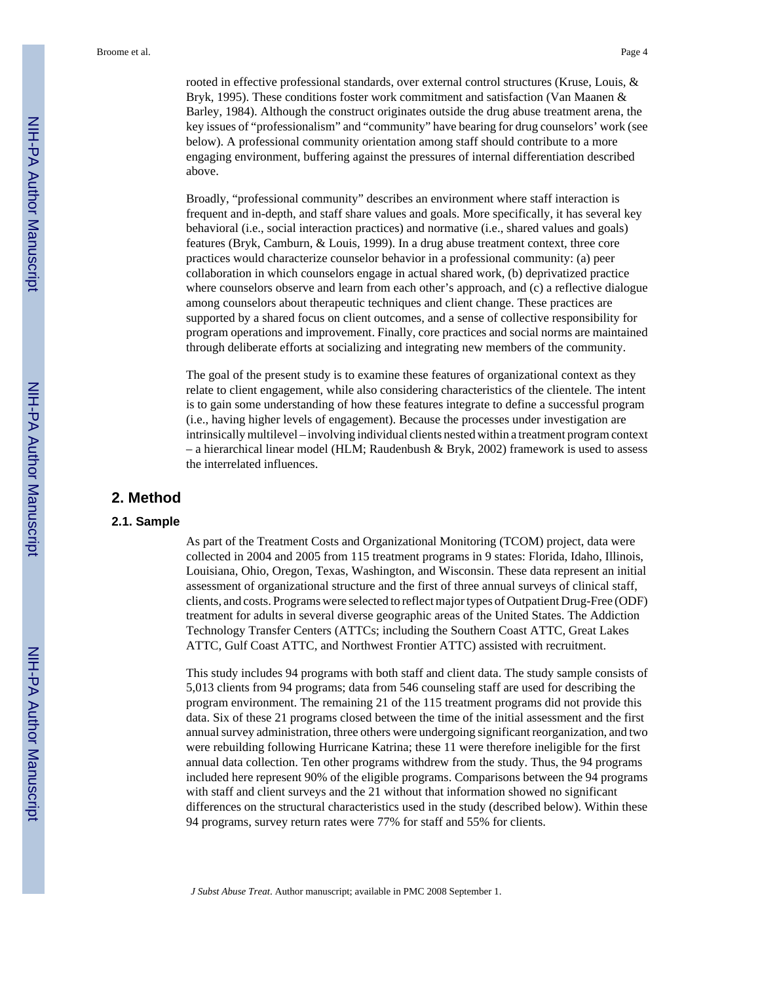rooted in effective professional standards, over external control structures (Kruse, Louis, & Bryk, 1995). These conditions foster work commitment and satisfaction (Van Maanen & Barley, 1984). Although the construct originates outside the drug abuse treatment arena, the key issues of "professionalism" and "community" have bearing for drug counselors' work (see below). A professional community orientation among staff should contribute to a more engaging environment, buffering against the pressures of internal differentiation described above.

Broadly, "professional community" describes an environment where staff interaction is frequent and in-depth, and staff share values and goals. More specifically, it has several key behavioral (i.e., social interaction practices) and normative (i.e., shared values and goals) features (Bryk, Camburn, & Louis, 1999). In a drug abuse treatment context, three core practices would characterize counselor behavior in a professional community: (a) peer collaboration in which counselors engage in actual shared work, (b) deprivatized practice where counselors observe and learn from each other's approach, and (c) a reflective dialogue among counselors about therapeutic techniques and client change. These practices are supported by a shared focus on client outcomes, and a sense of collective responsibility for program operations and improvement. Finally, core practices and social norms are maintained through deliberate efforts at socializing and integrating new members of the community.

The goal of the present study is to examine these features of organizational context as they relate to client engagement, while also considering characteristics of the clientele. The intent is to gain some understanding of how these features integrate to define a successful program (i.e., having higher levels of engagement). Because the processes under investigation are intrinsically multilevel – involving individual clients nested within a treatment program context – a hierarchical linear model (HLM; Raudenbush & Bryk, 2002) framework is used to assess the interrelated influences.

#### **2. Method**

#### **2.1. Sample**

As part of the Treatment Costs and Organizational Monitoring (TCOM) project, data were collected in 2004 and 2005 from 115 treatment programs in 9 states: Florida, Idaho, Illinois, Louisiana, Ohio, Oregon, Texas, Washington, and Wisconsin. These data represent an initial assessment of organizational structure and the first of three annual surveys of clinical staff, clients, and costs. Programs were selected to reflect major types of Outpatient Drug-Free (ODF) treatment for adults in several diverse geographic areas of the United States. The Addiction Technology Transfer Centers (ATTCs; including the Southern Coast ATTC, Great Lakes ATTC, Gulf Coast ATTC, and Northwest Frontier ATTC) assisted with recruitment.

This study includes 94 programs with both staff and client data. The study sample consists of 5,013 clients from 94 programs; data from 546 counseling staff are used for describing the program environment. The remaining 21 of the 115 treatment programs did not provide this data. Six of these 21 programs closed between the time of the initial assessment and the first annual survey administration, three others were undergoing significant reorganization, and two were rebuilding following Hurricane Katrina; these 11 were therefore ineligible for the first annual data collection. Ten other programs withdrew from the study. Thus, the 94 programs included here represent 90% of the eligible programs. Comparisons between the 94 programs with staff and client surveys and the 21 without that information showed no significant differences on the structural characteristics used in the study (described below). Within these 94 programs, survey return rates were 77% for staff and 55% for clients.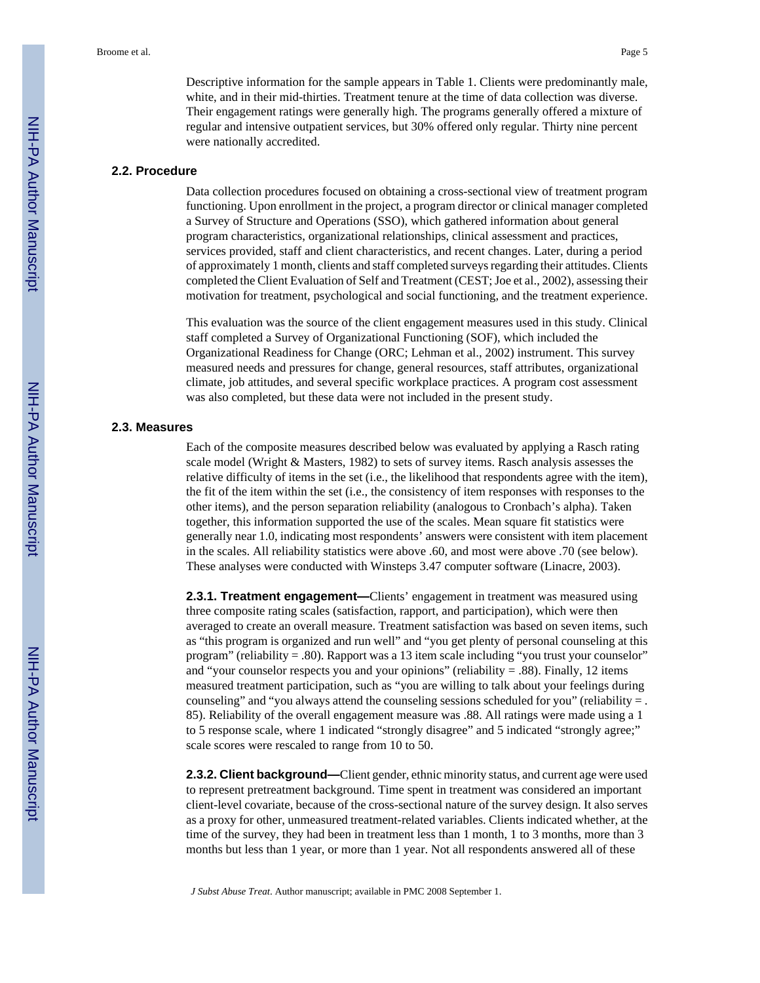Descriptive information for the sample appears in Table 1. Clients were predominantly male, white, and in their mid-thirties. Treatment tenure at the time of data collection was diverse. Their engagement ratings were generally high. The programs generally offered a mixture of regular and intensive outpatient services, but 30% offered only regular. Thirty nine percent were nationally accredited.

#### **2.2. Procedure**

Data collection procedures focused on obtaining a cross-sectional view of treatment program functioning. Upon enrollment in the project, a program director or clinical manager completed a Survey of Structure and Operations (SSO), which gathered information about general program characteristics, organizational relationships, clinical assessment and practices, services provided, staff and client characteristics, and recent changes. Later, during a period of approximately 1 month, clients and staff completed surveys regarding their attitudes. Clients completed the Client Evaluation of Self and Treatment (CEST; Joe et al., 2002), assessing their motivation for treatment, psychological and social functioning, and the treatment experience.

This evaluation was the source of the client engagement measures used in this study. Clinical staff completed a Survey of Organizational Functioning (SOF), which included the Organizational Readiness for Change (ORC; Lehman et al., 2002) instrument. This survey measured needs and pressures for change, general resources, staff attributes, organizational climate, job attitudes, and several specific workplace practices. A program cost assessment was also completed, but these data were not included in the present study.

#### **2.3. Measures**

Each of the composite measures described below was evaluated by applying a Rasch rating scale model (Wright & Masters, 1982) to sets of survey items. Rasch analysis assesses the relative difficulty of items in the set (i.e., the likelihood that respondents agree with the item), the fit of the item within the set (i.e., the consistency of item responses with responses to the other items), and the person separation reliability (analogous to Cronbach's alpha). Taken together, this information supported the use of the scales. Mean square fit statistics were generally near 1.0, indicating most respondents' answers were consistent with item placement in the scales. All reliability statistics were above .60, and most were above .70 (see below). These analyses were conducted with Winsteps 3.47 computer software (Linacre, 2003).

**2.3.1. Treatment engagement—**Clients' engagement in treatment was measured using three composite rating scales (satisfaction, rapport, and participation), which were then averaged to create an overall measure. Treatment satisfaction was based on seven items, such as "this program is organized and run well" and "you get plenty of personal counseling at this program" (reliability = .80). Rapport was a 13 item scale including "you trust your counselor" and "your counselor respects you and your opinions" (reliability = .88). Finally, 12 items measured treatment participation, such as "you are willing to talk about your feelings during counseling" and "you always attend the counseling sessions scheduled for you" (reliability  $=$ . 85). Reliability of the overall engagement measure was .88. All ratings were made using a 1 to 5 response scale, where 1 indicated "strongly disagree" and 5 indicated "strongly agree;" scale scores were rescaled to range from 10 to 50.

**2.3.2. Client background—**Client gender, ethnic minority status, and current age were used to represent pretreatment background. Time spent in treatment was considered an important client-level covariate, because of the cross-sectional nature of the survey design. It also serves as a proxy for other, unmeasured treatment-related variables. Clients indicated whether, at the time of the survey, they had been in treatment less than 1 month, 1 to 3 months, more than 3 months but less than 1 year, or more than 1 year. Not all respondents answered all of these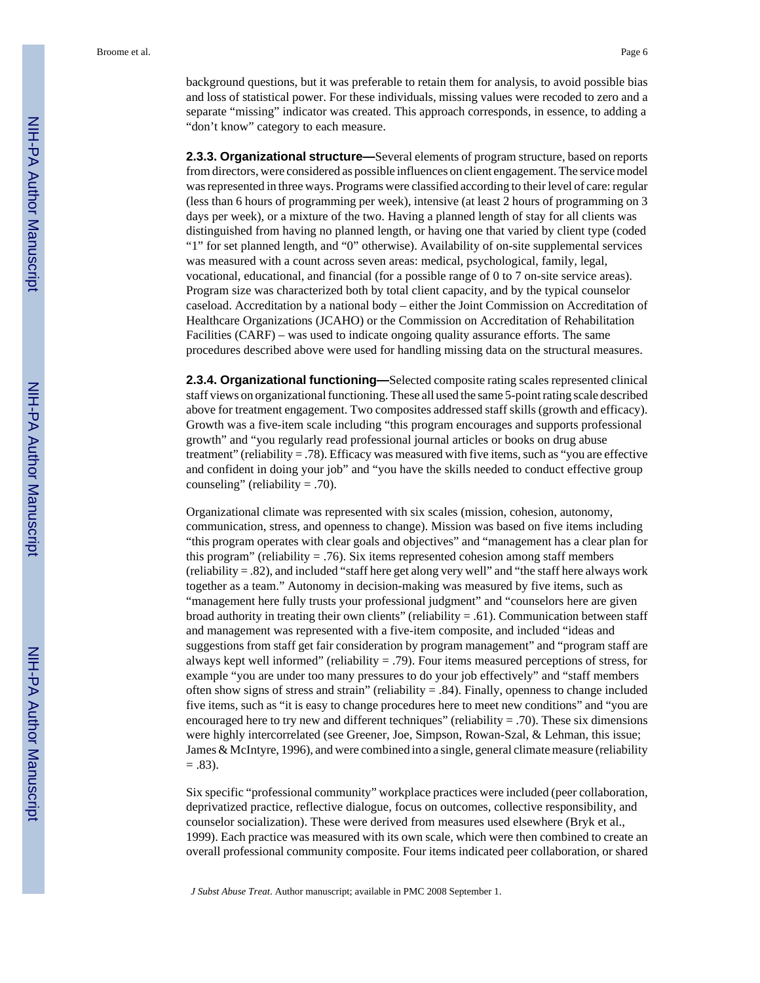**2.3.3. Organizational structure—**Several elements of program structure, based on reports from directors, were considered as possible influences on client engagement. The service model was represented in three ways. Programs were classified according to their level of care: regular (less than 6 hours of programming per week), intensive (at least 2 hours of programming on 3 days per week), or a mixture of the two. Having a planned length of stay for all clients was distinguished from having no planned length, or having one that varied by client type (coded "1" for set planned length, and "0" otherwise). Availability of on-site supplemental services was measured with a count across seven areas: medical, psychological, family, legal, vocational, educational, and financial (for a possible range of 0 to 7 on-site service areas). Program size was characterized both by total client capacity, and by the typical counselor caseload. Accreditation by a national body – either the Joint Commission on Accreditation of Healthcare Organizations (JCAHO) or the Commission on Accreditation of Rehabilitation Facilities (CARF) – was used to indicate ongoing quality assurance efforts. The same procedures described above were used for handling missing data on the structural measures.

**2.3.4. Organizational functioning—**Selected composite rating scales represented clinical staff views on organizational functioning. These all used the same 5-point rating scale described above for treatment engagement. Two composites addressed staff skills (growth and efficacy). Growth was a five-item scale including "this program encourages and supports professional growth" and "you regularly read professional journal articles or books on drug abuse treatment" (reliability = .78). Efficacy was measured with five items, such as "you are effective and confident in doing your job" and "you have the skills needed to conduct effective group counseling" (reliability  $= .70$ ).

Organizational climate was represented with six scales (mission, cohesion, autonomy, communication, stress, and openness to change). Mission was based on five items including "this program operates with clear goals and objectives" and "management has a clear plan for this program" (reliability  $= .76$ ). Six items represented cohesion among staff members (reliability = .82), and included "staff here get along very well" and "the staff here always work together as a team." Autonomy in decision-making was measured by five items, such as "management here fully trusts your professional judgment" and "counselors here are given broad authority in treating their own clients" (reliability = .61). Communication between staff and management was represented with a five-item composite, and included "ideas and suggestions from staff get fair consideration by program management" and "program staff are always kept well informed" (reliability  $= .79$ ). Four items measured perceptions of stress, for example "you are under too many pressures to do your job effectively" and "staff members often show signs of stress and strain" (reliability  $= .84$ ). Finally, openness to change included five items, such as "it is easy to change procedures here to meet new conditions" and "you are encouraged here to try new and different techniques" (reliability  $= .70$ ). These six dimensions were highly intercorrelated (see Greener, Joe, Simpson, Rowan-Szal, & Lehman, this issue; James & McIntyre, 1996), and were combined into a single, general climate measure (reliability  $= .83$ ).

Six specific "professional community" workplace practices were included (peer collaboration, deprivatized practice, reflective dialogue, focus on outcomes, collective responsibility, and counselor socialization). These were derived from measures used elsewhere (Bryk et al., 1999). Each practice was measured with its own scale, which were then combined to create an overall professional community composite. Four items indicated peer collaboration, or shared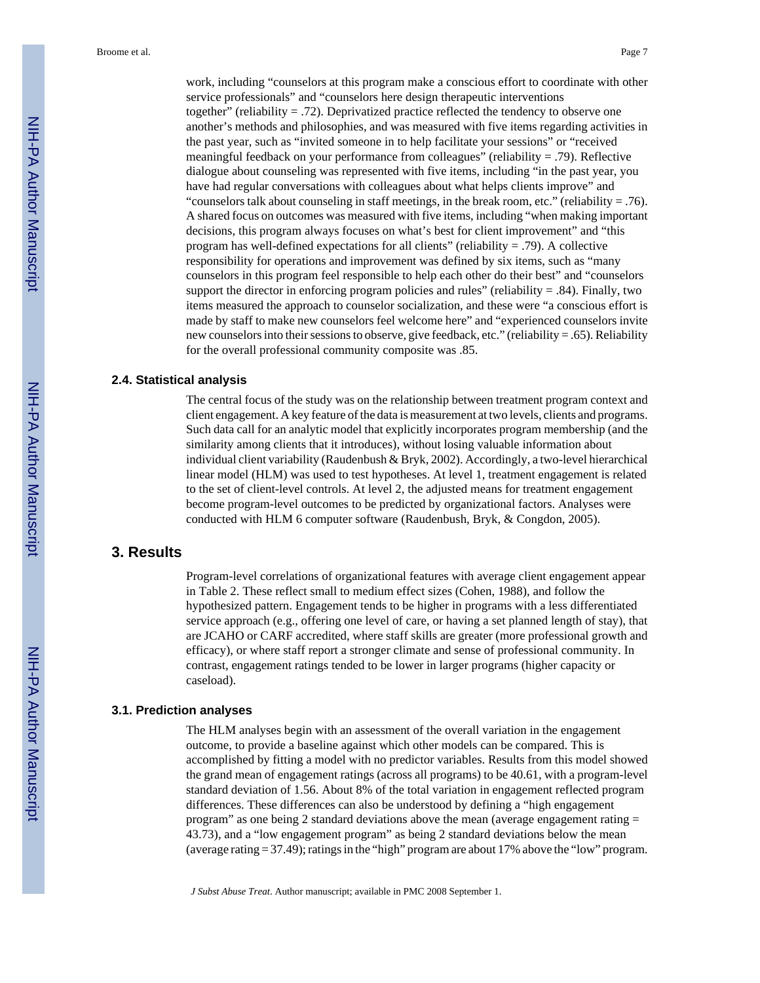work, including "counselors at this program make a conscious effort to coordinate with other service professionals" and "counselors here design therapeutic interventions together" (reliability  $= .72$ ). Deprivatized practice reflected the tendency to observe one another's methods and philosophies, and was measured with five items regarding activities in the past year, such as "invited someone in to help facilitate your sessions" or "received meaningful feedback on your performance from colleagues" (reliability = .79). Reflective dialogue about counseling was represented with five items, including "in the past year, you have had regular conversations with colleagues about what helps clients improve" and "counselors talk about counseling in staff meetings, in the break room, etc." (reliability  $= .76$ ). A shared focus on outcomes was measured with five items, including "when making important decisions, this program always focuses on what's best for client improvement" and "this program has well-defined expectations for all clients" (reliability  $= .79$ ). A collective responsibility for operations and improvement was defined by six items, such as "many counselors in this program feel responsible to help each other do their best" and "counselors support the director in enforcing program policies and rules" (reliability  $= 0.84$ ). Finally, two items measured the approach to counselor socialization, and these were "a conscious effort is made by staff to make new counselors feel welcome here" and "experienced counselors invite new counselors into their sessions to observe, give feedback, etc." (reliability = .65). Reliability for the overall professional community composite was .85.

#### **2.4. Statistical analysis**

The central focus of the study was on the relationship between treatment program context and client engagement. A key feature of the data is measurement at two levels, clients and programs. Such data call for an analytic model that explicitly incorporates program membership (and the similarity among clients that it introduces), without losing valuable information about individual client variability (Raudenbush & Bryk, 2002). Accordingly, a two-level hierarchical linear model (HLM) was used to test hypotheses. At level 1, treatment engagement is related to the set of client-level controls. At level 2, the adjusted means for treatment engagement become program-level outcomes to be predicted by organizational factors. Analyses were conducted with HLM 6 computer software (Raudenbush, Bryk, & Congdon, 2005).

# **3. Results**

Program-level correlations of organizational features with average client engagement appear in Table 2. These reflect small to medium effect sizes (Cohen, 1988), and follow the hypothesized pattern. Engagement tends to be higher in programs with a less differentiated service approach (e.g., offering one level of care, or having a set planned length of stay), that are JCAHO or CARF accredited, where staff skills are greater (more professional growth and efficacy), or where staff report a stronger climate and sense of professional community. In contrast, engagement ratings tended to be lower in larger programs (higher capacity or caseload).

#### **3.1. Prediction analyses**

The HLM analyses begin with an assessment of the overall variation in the engagement outcome, to provide a baseline against which other models can be compared. This is accomplished by fitting a model with no predictor variables. Results from this model showed the grand mean of engagement ratings (across all programs) to be 40.61, with a program-level standard deviation of 1.56. About 8% of the total variation in engagement reflected program differences. These differences can also be understood by defining a "high engagement program" as one being 2 standard deviations above the mean (average engagement rating = 43.73), and a "low engagement program" as being 2 standard deviations below the mean (average rating = 37.49); ratings in the "high" program are about 17% above the "low" program.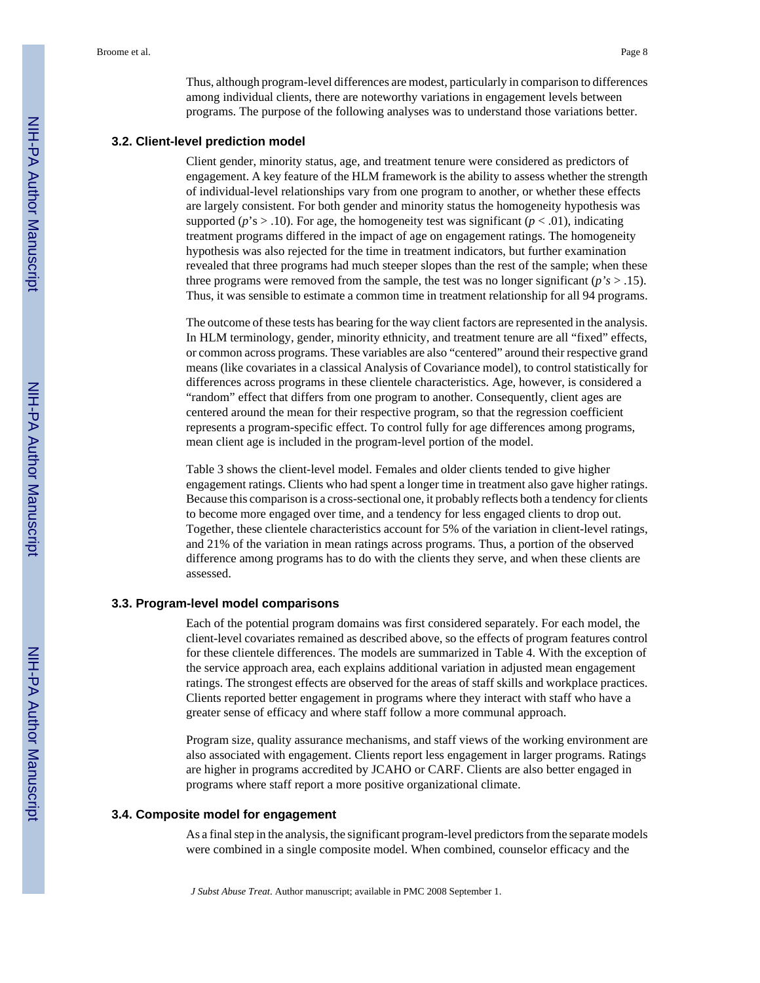Thus, although program-level differences are modest, particularly in comparison to differences among individual clients, there are noteworthy variations in engagement levels between programs. The purpose of the following analyses was to understand those variations better.

#### **3.2. Client-level prediction model**

Client gender, minority status, age, and treatment tenure were considered as predictors of engagement. A key feature of the HLM framework is the ability to assess whether the strength of individual-level relationships vary from one program to another, or whether these effects are largely consistent. For both gender and minority status the homogeneity hypothesis was supported ( $p$ 's  $>$  .10). For age, the homogeneity test was significant ( $p$  < .01), indicating treatment programs differed in the impact of age on engagement ratings. The homogeneity hypothesis was also rejected for the time in treatment indicators, but further examination revealed that three programs had much steeper slopes than the rest of the sample; when these three programs were removed from the sample, the test was no longer significant ( $p's$  > .15). Thus, it was sensible to estimate a common time in treatment relationship for all 94 programs.

The outcome of these tests has bearing for the way client factors are represented in the analysis. In HLM terminology, gender, minority ethnicity, and treatment tenure are all "fixed" effects, or common across programs. These variables are also "centered" around their respective grand means (like covariates in a classical Analysis of Covariance model), to control statistically for differences across programs in these clientele characteristics. Age, however, is considered a "random" effect that differs from one program to another. Consequently, client ages are centered around the mean for their respective program, so that the regression coefficient represents a program-specific effect. To control fully for age differences among programs, mean client age is included in the program-level portion of the model.

Table 3 shows the client-level model. Females and older clients tended to give higher engagement ratings. Clients who had spent a longer time in treatment also gave higher ratings. Because this comparison is a cross-sectional one, it probably reflects both a tendency for clients to become more engaged over time, and a tendency for less engaged clients to drop out. Together, these clientele characteristics account for 5% of the variation in client-level ratings, and 21% of the variation in mean ratings across programs. Thus, a portion of the observed difference among programs has to do with the clients they serve, and when these clients are assessed.

#### **3.3. Program-level model comparisons**

Each of the potential program domains was first considered separately. For each model, the client-level covariates remained as described above, so the effects of program features control for these clientele differences. The models are summarized in Table 4. With the exception of the service approach area, each explains additional variation in adjusted mean engagement ratings. The strongest effects are observed for the areas of staff skills and workplace practices. Clients reported better engagement in programs where they interact with staff who have a greater sense of efficacy and where staff follow a more communal approach.

Program size, quality assurance mechanisms, and staff views of the working environment are also associated with engagement. Clients report less engagement in larger programs. Ratings are higher in programs accredited by JCAHO or CARF. Clients are also better engaged in programs where staff report a more positive organizational climate.

#### **3.4. Composite model for engagement**

As a final step in the analysis, the significant program-level predictors from the separate models were combined in a single composite model. When combined, counselor efficacy and the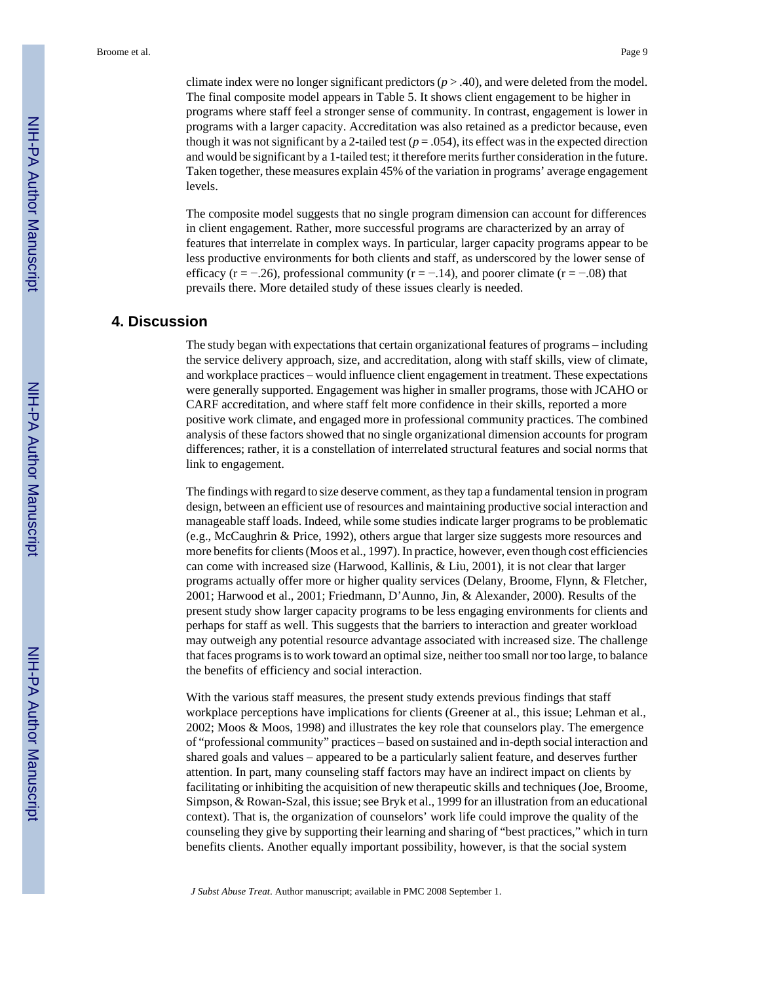climate index were no longer significant predictors  $(p > .40)$ , and were deleted from the model. The final composite model appears in Table 5. It shows client engagement to be higher in programs where staff feel a stronger sense of community. In contrast, engagement is lower in programs with a larger capacity. Accreditation was also retained as a predictor because, even though it was not significant by a 2-tailed test  $(p = .054)$ , its effect was in the expected direction and would be significant by a 1-tailed test; it therefore merits further consideration in the future. Taken together, these measures explain 45% of the variation in programs' average engagement levels.

The composite model suggests that no single program dimension can account for differences in client engagement. Rather, more successful programs are characterized by an array of features that interrelate in complex ways. In particular, larger capacity programs appear to be less productive environments for both clients and staff, as underscored by the lower sense of efficacy ( $r = -0.26$ ), professional community ( $r = -0.14$ ), and poorer climate ( $r = -0.08$ ) that prevails there. More detailed study of these issues clearly is needed.

# **4. Discussion**

The study began with expectations that certain organizational features of programs – including the service delivery approach, size, and accreditation, along with staff skills, view of climate, and workplace practices – would influence client engagement in treatment. These expectations were generally supported. Engagement was higher in smaller programs, those with JCAHO or CARF accreditation, and where staff felt more confidence in their skills, reported a more positive work climate, and engaged more in professional community practices. The combined analysis of these factors showed that no single organizational dimension accounts for program differences; rather, it is a constellation of interrelated structural features and social norms that link to engagement.

The findings with regard to size deserve comment, as they tap a fundamental tension in program design, between an efficient use of resources and maintaining productive social interaction and manageable staff loads. Indeed, while some studies indicate larger programs to be problematic (e.g., McCaughrin & Price, 1992), others argue that larger size suggests more resources and more benefits for clients (Moos et al., 1997). In practice, however, even though cost efficiencies can come with increased size (Harwood, Kallinis, & Liu, 2001), it is not clear that larger programs actually offer more or higher quality services (Delany, Broome, Flynn, & Fletcher, 2001; Harwood et al., 2001; Friedmann, D'Aunno, Jin, & Alexander, 2000). Results of the present study show larger capacity programs to be less engaging environments for clients and perhaps for staff as well. This suggests that the barriers to interaction and greater workload may outweigh any potential resource advantage associated with increased size. The challenge that faces programs is to work toward an optimal size, neither too small nor too large, to balance the benefits of efficiency and social interaction.

With the various staff measures, the present study extends previous findings that staff workplace perceptions have implications for clients (Greener at al., this issue; Lehman et al., 2002; Moos & Moos, 1998) and illustrates the key role that counselors play. The emergence of "professional community" practices – based on sustained and in-depth social interaction and shared goals and values – appeared to be a particularly salient feature, and deserves further attention. In part, many counseling staff factors may have an indirect impact on clients by facilitating or inhibiting the acquisition of new therapeutic skills and techniques (Joe, Broome, Simpson, & Rowan-Szal, this issue; see Bryk et al., 1999 for an illustration from an educational context). That is, the organization of counselors' work life could improve the quality of the counseling they give by supporting their learning and sharing of "best practices," which in turn benefits clients. Another equally important possibility, however, is that the social system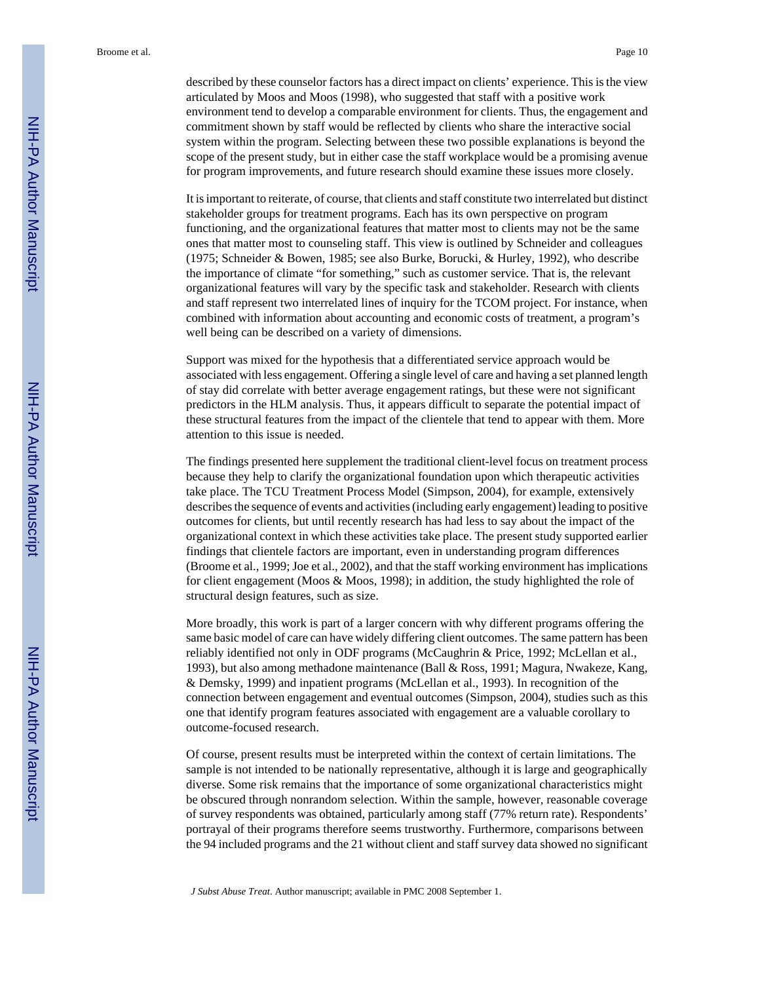described by these counselor factors has a direct impact on clients' experience. This is the view articulated by Moos and Moos (1998), who suggested that staff with a positive work environment tend to develop a comparable environment for clients. Thus, the engagement and commitment shown by staff would be reflected by clients who share the interactive social system within the program. Selecting between these two possible explanations is beyond the scope of the present study, but in either case the staff workplace would be a promising avenue for program improvements, and future research should examine these issues more closely.

It is important to reiterate, of course, that clients and staff constitute two interrelated but distinct stakeholder groups for treatment programs. Each has its own perspective on program functioning, and the organizational features that matter most to clients may not be the same ones that matter most to counseling staff. This view is outlined by Schneider and colleagues (1975; Schneider & Bowen, 1985; see also Burke, Borucki, & Hurley, 1992), who describe the importance of climate "for something," such as customer service. That is, the relevant organizational features will vary by the specific task and stakeholder. Research with clients and staff represent two interrelated lines of inquiry for the TCOM project. For instance, when combined with information about accounting and economic costs of treatment, a program's well being can be described on a variety of dimensions.

Support was mixed for the hypothesis that a differentiated service approach would be associated with less engagement. Offering a single level of care and having a set planned length of stay did correlate with better average engagement ratings, but these were not significant predictors in the HLM analysis. Thus, it appears difficult to separate the potential impact of these structural features from the impact of the clientele that tend to appear with them. More attention to this issue is needed.

The findings presented here supplement the traditional client-level focus on treatment process because they help to clarify the organizational foundation upon which therapeutic activities take place. The TCU Treatment Process Model (Simpson, 2004), for example, extensively describes the sequence of events and activities (including early engagement) leading to positive outcomes for clients, but until recently research has had less to say about the impact of the organizational context in which these activities take place. The present study supported earlier findings that clientele factors are important, even in understanding program differences (Broome et al., 1999; Joe et al., 2002), and that the staff working environment has implications for client engagement (Moos & Moos, 1998); in addition, the study highlighted the role of structural design features, such as size.

More broadly, this work is part of a larger concern with why different programs offering the same basic model of care can have widely differing client outcomes. The same pattern has been reliably identified not only in ODF programs (McCaughrin & Price, 1992; McLellan et al., 1993), but also among methadone maintenance (Ball & Ross, 1991; Magura, Nwakeze, Kang, & Demsky, 1999) and inpatient programs (McLellan et al., 1993). In recognition of the connection between engagement and eventual outcomes (Simpson, 2004), studies such as this one that identify program features associated with engagement are a valuable corollary to outcome-focused research.

Of course, present results must be interpreted within the context of certain limitations. The sample is not intended to be nationally representative, although it is large and geographically diverse. Some risk remains that the importance of some organizational characteristics might be obscured through nonrandom selection. Within the sample, however, reasonable coverage of survey respondents was obtained, particularly among staff (77% return rate). Respondents' portrayal of their programs therefore seems trustworthy. Furthermore, comparisons between the 94 included programs and the 21 without client and staff survey data showed no significant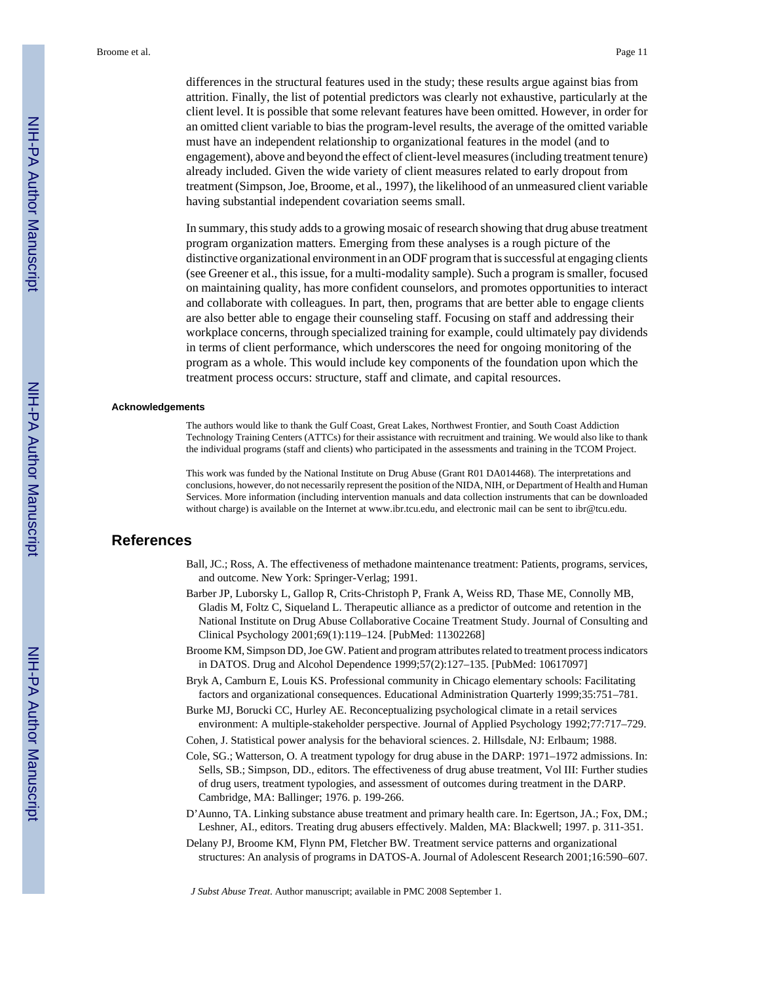differences in the structural features used in the study; these results argue against bias from attrition. Finally, the list of potential predictors was clearly not exhaustive, particularly at the client level. It is possible that some relevant features have been omitted. However, in order for an omitted client variable to bias the program-level results, the average of the omitted variable must have an independent relationship to organizational features in the model (and to engagement), above and beyond the effect of client-level measures (including treatment tenure) already included. Given the wide variety of client measures related to early dropout from treatment (Simpson, Joe, Broome, et al., 1997), the likelihood of an unmeasured client variable having substantial independent covariation seems small.

In summary, this study adds to a growing mosaic of research showing that drug abuse treatment program organization matters. Emerging from these analyses is a rough picture of the distinctive organizational environment in an ODF program that is successful at engaging clients (see Greener et al., this issue, for a multi-modality sample). Such a program is smaller, focused on maintaining quality, has more confident counselors, and promotes opportunities to interact and collaborate with colleagues. In part, then, programs that are better able to engage clients are also better able to engage their counseling staff. Focusing on staff and addressing their workplace concerns, through specialized training for example, could ultimately pay dividends in terms of client performance, which underscores the need for ongoing monitoring of the program as a whole. This would include key components of the foundation upon which the treatment process occurs: structure, staff and climate, and capital resources.

#### **Acknowledgements**

The authors would like to thank the Gulf Coast, Great Lakes, Northwest Frontier, and South Coast Addiction Technology Training Centers (ATTCs) for their assistance with recruitment and training. We would also like to thank the individual programs (staff and clients) who participated in the assessments and training in the TCOM Project.

This work was funded by the National Institute on Drug Abuse (Grant R01 DA014468). The interpretations and conclusions, however, do not necessarily represent the position of the NIDA, NIH, or Department of Health and Human Services. More information (including intervention manuals and data collection instruments that can be downloaded without charge) is available on the Internet at www.ibr.tcu.edu, and electronic mail can be sent to ibr@tcu.edu.

#### **References**

- Ball, JC.; Ross, A. The effectiveness of methadone maintenance treatment: Patients, programs, services, and outcome. New York: Springer-Verlag; 1991.
- Barber JP, Luborsky L, Gallop R, Crits-Christoph P, Frank A, Weiss RD, Thase ME, Connolly MB, Gladis M, Foltz C, Siqueland L. Therapeutic alliance as a predictor of outcome and retention in the National Institute on Drug Abuse Collaborative Cocaine Treatment Study. Journal of Consulting and Clinical Psychology 2001;69(1):119–124. [PubMed: 11302268]
- Broome KM, Simpson DD, Joe GW. Patient and program attributes related to treatment process indicators in DATOS. Drug and Alcohol Dependence 1999;57(2):127–135. [PubMed: 10617097]
- Bryk A, Camburn E, Louis KS. Professional community in Chicago elementary schools: Facilitating factors and organizational consequences. Educational Administration Quarterly 1999;35:751–781.
- Burke MJ, Borucki CC, Hurley AE. Reconceptualizing psychological climate in a retail services environment: A multiple-stakeholder perspective. Journal of Applied Psychology 1992;77:717–729.
- Cohen, J. Statistical power analysis for the behavioral sciences. 2. Hillsdale, NJ: Erlbaum; 1988.
- Cole, SG.; Watterson, O. A treatment typology for drug abuse in the DARP: 1971–1972 admissions. In: Sells, SB.; Simpson, DD., editors. The effectiveness of drug abuse treatment, Vol III: Further studies of drug users, treatment typologies, and assessment of outcomes during treatment in the DARP. Cambridge, MA: Ballinger; 1976. p. 199-266.
- D'Aunno, TA. Linking substance abuse treatment and primary health care. In: Egertson, JA.; Fox, DM.; Leshner, AI., editors. Treating drug abusers effectively. Malden, MA: Blackwell; 1997. p. 311-351.
- Delany PJ, Broome KM, Flynn PM, Fletcher BW. Treatment service patterns and organizational structures: An analysis of programs in DATOS-A. Journal of Adolescent Research 2001;16:590–607.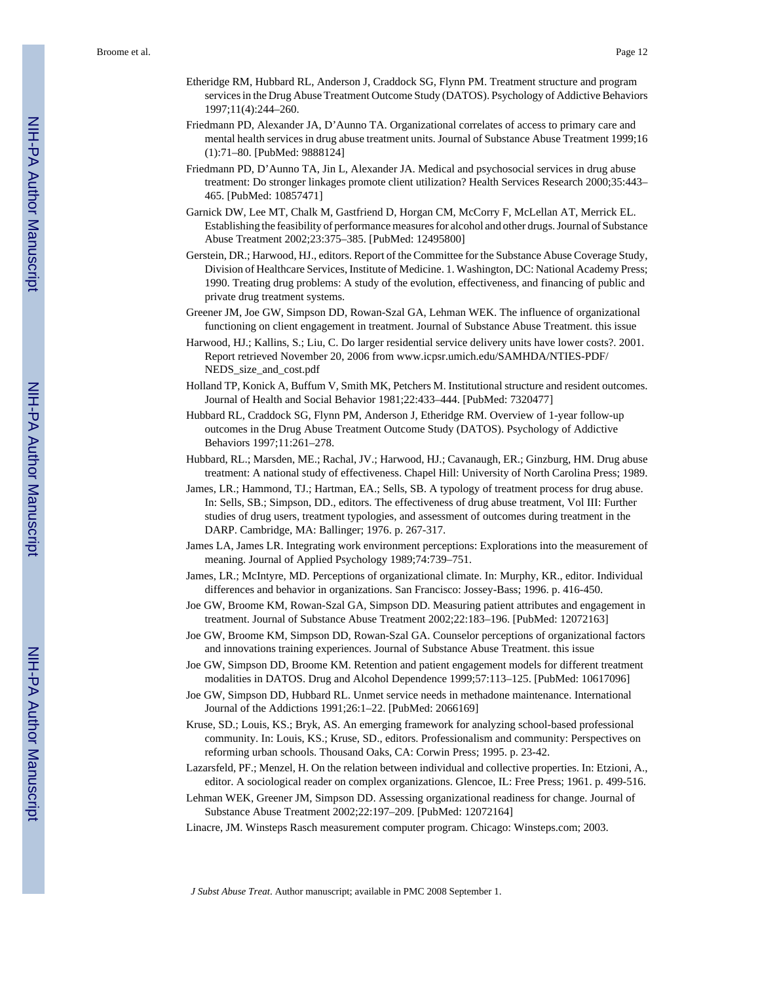- Etheridge RM, Hubbard RL, Anderson J, Craddock SG, Flynn PM. Treatment structure and program services in the Drug Abuse Treatment Outcome Study (DATOS). Psychology of Addictive Behaviors 1997;11(4):244–260.
- Friedmann PD, Alexander JA, D'Aunno TA. Organizational correlates of access to primary care and mental health services in drug abuse treatment units. Journal of Substance Abuse Treatment 1999;16 (1):71–80. [PubMed: 9888124]
- Friedmann PD, D'Aunno TA, Jin L, Alexander JA. Medical and psychosocial services in drug abuse treatment: Do stronger linkages promote client utilization? Health Services Research 2000;35:443– 465. [PubMed: 10857471]
- Garnick DW, Lee MT, Chalk M, Gastfriend D, Horgan CM, McCorry F, McLellan AT, Merrick EL. Establishing the feasibility of performance measures for alcohol and other drugs. Journal of Substance Abuse Treatment 2002;23:375–385. [PubMed: 12495800]
- Gerstein, DR.; Harwood, HJ., editors. Report of the Committee for the Substance Abuse Coverage Study, Division of Healthcare Services, Institute of Medicine. 1. Washington, DC: National Academy Press; 1990. Treating drug problems: A study of the evolution, effectiveness, and financing of public and private drug treatment systems.
- Greener JM, Joe GW, Simpson DD, Rowan-Szal GA, Lehman WEK. The influence of organizational functioning on client engagement in treatment. Journal of Substance Abuse Treatment. this issue
- Harwood, HJ.; Kallins, S.; Liu, C. Do larger residential service delivery units have lower costs?. 2001. Report retrieved November 20, 2006 from www.icpsr.umich.edu/SAMHDA/NTIES-PDF/ NEDS\_size\_and\_cost.pdf
- Holland TP, Konick A, Buffum V, Smith MK, Petchers M. Institutional structure and resident outcomes. Journal of Health and Social Behavior 1981;22:433–444. [PubMed: 7320477]
- Hubbard RL, Craddock SG, Flynn PM, Anderson J, Etheridge RM. Overview of 1-year follow-up outcomes in the Drug Abuse Treatment Outcome Study (DATOS). Psychology of Addictive Behaviors 1997;11:261–278.
- Hubbard, RL.; Marsden, ME.; Rachal, JV.; Harwood, HJ.; Cavanaugh, ER.; Ginzburg, HM. Drug abuse treatment: A national study of effectiveness. Chapel Hill: University of North Carolina Press; 1989.
- James, LR.; Hammond, TJ.; Hartman, EA.; Sells, SB. A typology of treatment process for drug abuse. In: Sells, SB.; Simpson, DD., editors. The effectiveness of drug abuse treatment, Vol III: Further studies of drug users, treatment typologies, and assessment of outcomes during treatment in the DARP. Cambridge, MA: Ballinger; 1976. p. 267-317.
- James LA, James LR. Integrating work environment perceptions: Explorations into the measurement of meaning. Journal of Applied Psychology 1989;74:739–751.
- James, LR.; McIntyre, MD. Perceptions of organizational climate. In: Murphy, KR., editor. Individual differences and behavior in organizations. San Francisco: Jossey-Bass; 1996. p. 416-450.
- Joe GW, Broome KM, Rowan-Szal GA, Simpson DD. Measuring patient attributes and engagement in treatment. Journal of Substance Abuse Treatment 2002;22:183–196. [PubMed: 12072163]
- Joe GW, Broome KM, Simpson DD, Rowan-Szal GA. Counselor perceptions of organizational factors and innovations training experiences. Journal of Substance Abuse Treatment. this issue
- Joe GW, Simpson DD, Broome KM. Retention and patient engagement models for different treatment modalities in DATOS. Drug and Alcohol Dependence 1999;57:113–125. [PubMed: 10617096]
- Joe GW, Simpson DD, Hubbard RL. Unmet service needs in methadone maintenance. International Journal of the Addictions 1991;26:1–22. [PubMed: 2066169]
- Kruse, SD.; Louis, KS.; Bryk, AS. An emerging framework for analyzing school-based professional community. In: Louis, KS.; Kruse, SD., editors. Professionalism and community: Perspectives on reforming urban schools. Thousand Oaks, CA: Corwin Press; 1995. p. 23-42.
- Lazarsfeld, PF.; Menzel, H. On the relation between individual and collective properties. In: Etzioni, A., editor. A sociological reader on complex organizations. Glencoe, IL: Free Press; 1961. p. 499-516.
- Lehman WEK, Greener JM, Simpson DD. Assessing organizational readiness for change. Journal of Substance Abuse Treatment 2002;22:197–209. [PubMed: 12072164]
- Linacre, JM. Winsteps Rasch measurement computer program. Chicago: Winsteps.com; 2003.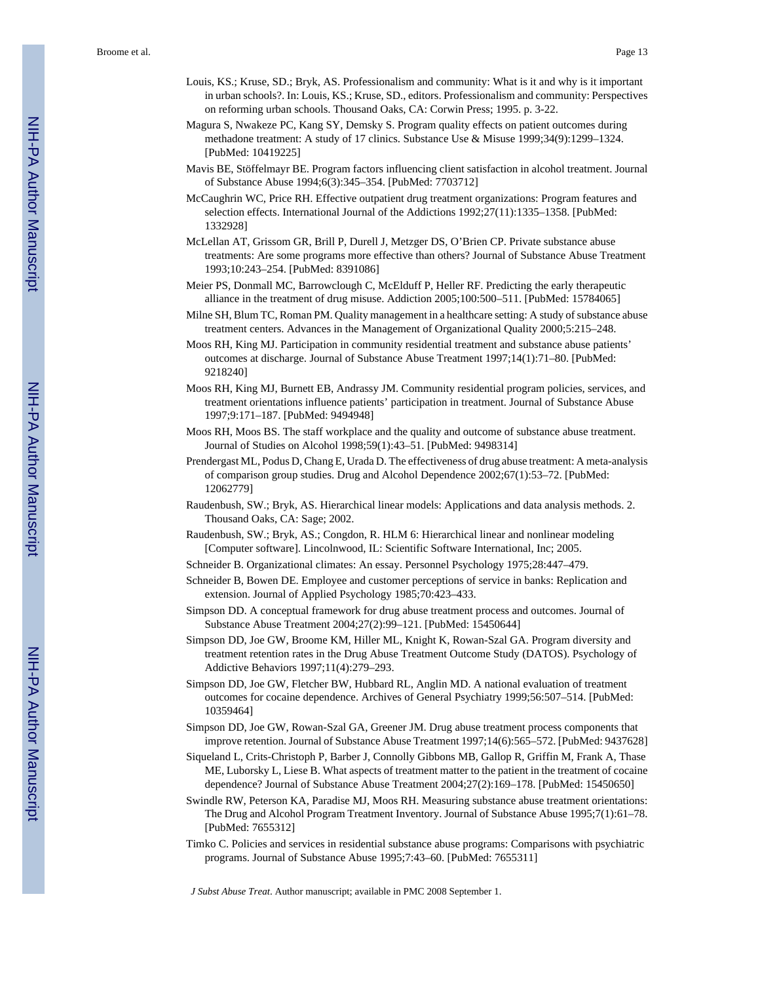- Louis, KS.; Kruse, SD.; Bryk, AS. Professionalism and community: What is it and why is it important in urban schools?. In: Louis, KS.; Kruse, SD., editors. Professionalism and community: Perspectives on reforming urban schools. Thousand Oaks, CA: Corwin Press; 1995. p. 3-22.
- Magura S, Nwakeze PC, Kang SY, Demsky S. Program quality effects on patient outcomes during methadone treatment: A study of 17 clinics. Substance Use & Misuse 1999;34(9):1299–1324. [PubMed: 10419225]
- Mavis BE, Stöffelmayr BE. Program factors influencing client satisfaction in alcohol treatment. Journal of Substance Abuse 1994;6(3):345–354. [PubMed: 7703712]
- McCaughrin WC, Price RH. Effective outpatient drug treatment organizations: Program features and selection effects. International Journal of the Addictions 1992;27(11):1335–1358. [PubMed: 1332928]
- McLellan AT, Grissom GR, Brill P, Durell J, Metzger DS, O'Brien CP. Private substance abuse treatments: Are some programs more effective than others? Journal of Substance Abuse Treatment 1993;10:243–254. [PubMed: 8391086]
- Meier PS, Donmall MC, Barrowclough C, McElduff P, Heller RF. Predicting the early therapeutic alliance in the treatment of drug misuse. Addiction 2005;100:500–511. [PubMed: 15784065]
- Milne SH, Blum TC, Roman PM. Quality management in a healthcare setting: A study of substance abuse treatment centers. Advances in the Management of Organizational Quality 2000;5:215–248.
- Moos RH, King MJ. Participation in community residential treatment and substance abuse patients' outcomes at discharge. Journal of Substance Abuse Treatment 1997;14(1):71–80. [PubMed: 9218240]
- Moos RH, King MJ, Burnett EB, Andrassy JM. Community residential program policies, services, and treatment orientations influence patients' participation in treatment. Journal of Substance Abuse 1997;9:171–187. [PubMed: 9494948]
- Moos RH, Moos BS. The staff workplace and the quality and outcome of substance abuse treatment. Journal of Studies on Alcohol 1998;59(1):43–51. [PubMed: 9498314]
- Prendergast ML, Podus D, Chang E, Urada D. The effectiveness of drug abuse treatment: A meta-analysis of comparison group studies. Drug and Alcohol Dependence 2002;67(1):53–72. [PubMed: 12062779]
- Raudenbush, SW.; Bryk, AS. Hierarchical linear models: Applications and data analysis methods. 2. Thousand Oaks, CA: Sage; 2002.
- Raudenbush, SW.; Bryk, AS.; Congdon, R. HLM 6: Hierarchical linear and nonlinear modeling [Computer software]. Lincolnwood, IL: Scientific Software International, Inc; 2005.
- Schneider B. Organizational climates: An essay. Personnel Psychology 1975;28:447–479.
- Schneider B, Bowen DE. Employee and customer perceptions of service in banks: Replication and extension. Journal of Applied Psychology 1985;70:423–433.
- Simpson DD. A conceptual framework for drug abuse treatment process and outcomes. Journal of Substance Abuse Treatment 2004;27(2):99–121. [PubMed: 15450644]
- Simpson DD, Joe GW, Broome KM, Hiller ML, Knight K, Rowan-Szal GA. Program diversity and treatment retention rates in the Drug Abuse Treatment Outcome Study (DATOS). Psychology of Addictive Behaviors 1997;11(4):279–293.
- Simpson DD, Joe GW, Fletcher BW, Hubbard RL, Anglin MD. A national evaluation of treatment outcomes for cocaine dependence. Archives of General Psychiatry 1999;56:507–514. [PubMed: 10359464]
- Simpson DD, Joe GW, Rowan-Szal GA, Greener JM. Drug abuse treatment process components that improve retention. Journal of Substance Abuse Treatment 1997;14(6):565–572. [PubMed: 9437628]
- Siqueland L, Crits-Christoph P, Barber J, Connolly Gibbons MB, Gallop R, Griffin M, Frank A, Thase ME, Luborsky L, Liese B. What aspects of treatment matter to the patient in the treatment of cocaine dependence? Journal of Substance Abuse Treatment 2004;27(2):169–178. [PubMed: 15450650]
- Swindle RW, Peterson KA, Paradise MJ, Moos RH. Measuring substance abuse treatment orientations: The Drug and Alcohol Program Treatment Inventory. Journal of Substance Abuse 1995;7(1):61–78. [PubMed: 7655312]
- Timko C. Policies and services in residential substance abuse programs: Comparisons with psychiatric programs. Journal of Substance Abuse 1995;7:43–60. [PubMed: 7655311]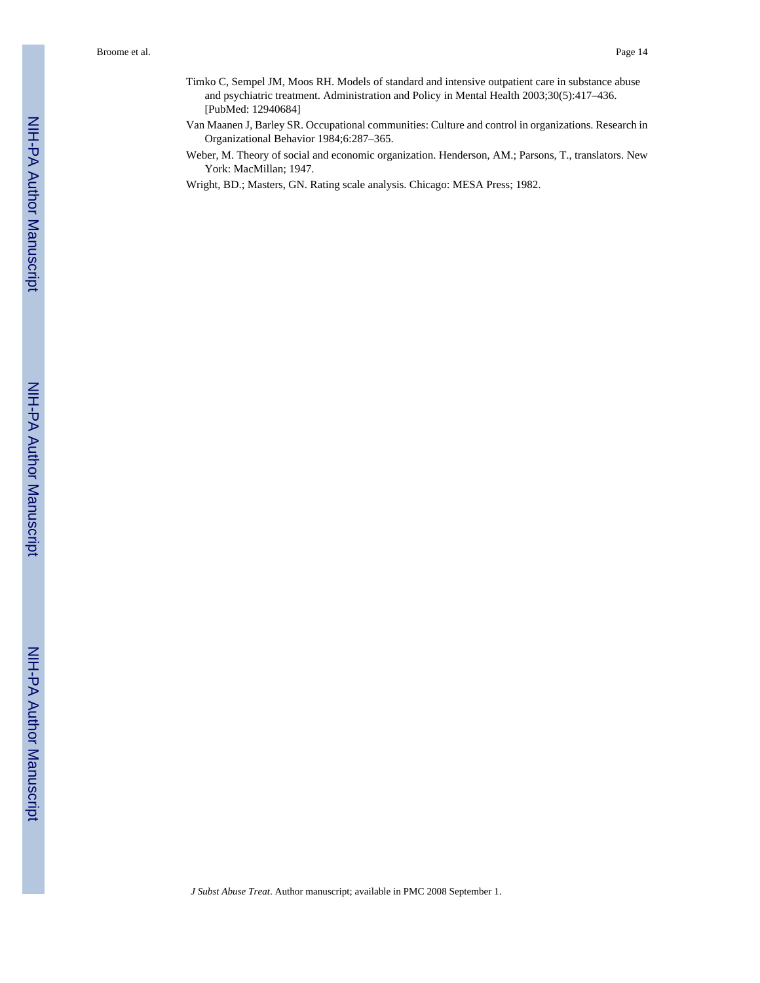- Timko C, Sempel JM, Moos RH. Models of standard and intensive outpatient care in substance abuse and psychiatric treatment. Administration and Policy in Mental Health 2003;30(5):417–436. [PubMed: 12940684]
- Van Maanen J, Barley SR. Occupational communities: Culture and control in organizations. Research in Organizational Behavior 1984;6:287–365.
- Weber, M. Theory of social and economic organization. Henderson, AM.; Parsons, T., translators. New York: MacMillan; 1947.
- Wright, BD.; Masters, GN. Rating scale analysis. Chicago: MESA Press; 1982.

NIH-PA Author Manuscript

NIH-PA Author Manuscript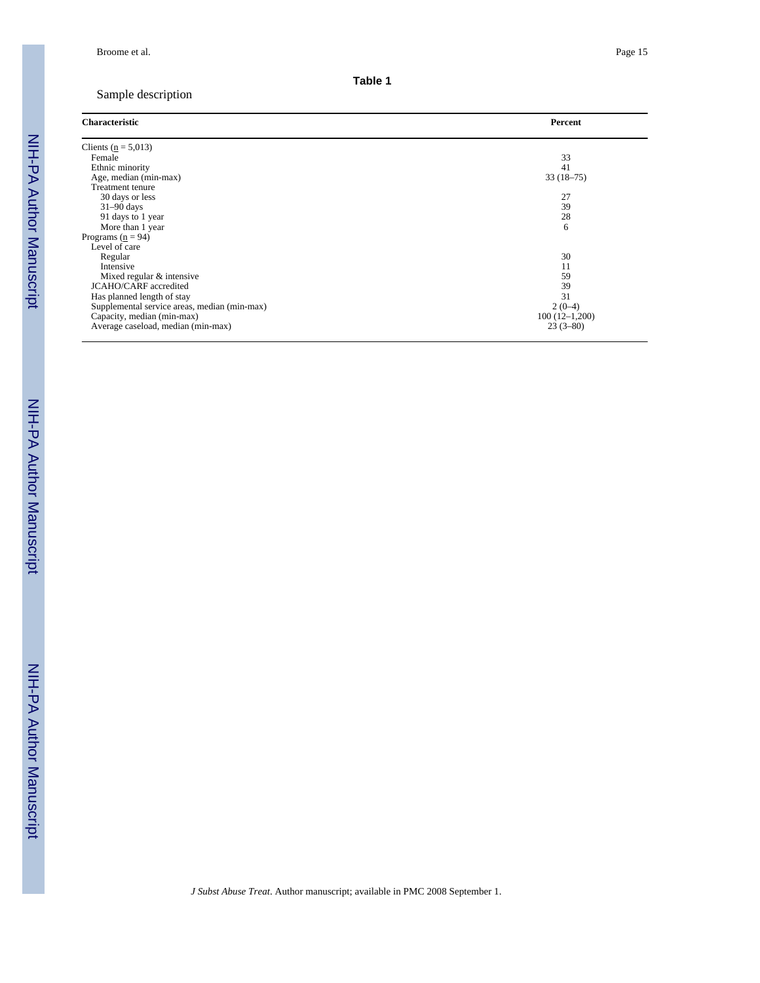# Sample description

| <b>Characteristic</b>                        | Percent         |
|----------------------------------------------|-----------------|
| Clients ( $n = 5,013$ )                      |                 |
| Female                                       | 33              |
| Ethnic minority                              | 41              |
| Age, median (min-max)                        | $33(18-75)$     |
| Treatment tenure                             |                 |
| 30 days or less                              | 27              |
| $31-90$ days                                 | 39              |
| 91 days to 1 year                            | 28              |
| More than 1 year                             | 6               |
| Programs ( $n = 94$ )                        |                 |
| Level of care                                |                 |
| Regular                                      | 30              |
| Intensive                                    | 11              |
| Mixed regular & intensive                    | 59              |
| <b>JCAHO/CARF</b> accredited                 | 39              |
| Has planned length of stay                   | 31              |
| Supplemental service areas, median (min-max) | $2(0-4)$        |
| Capacity, median (min-max)                   | $100(12-1,200)$ |
| Average caseload, median (min-max)           | $23(3-80)$      |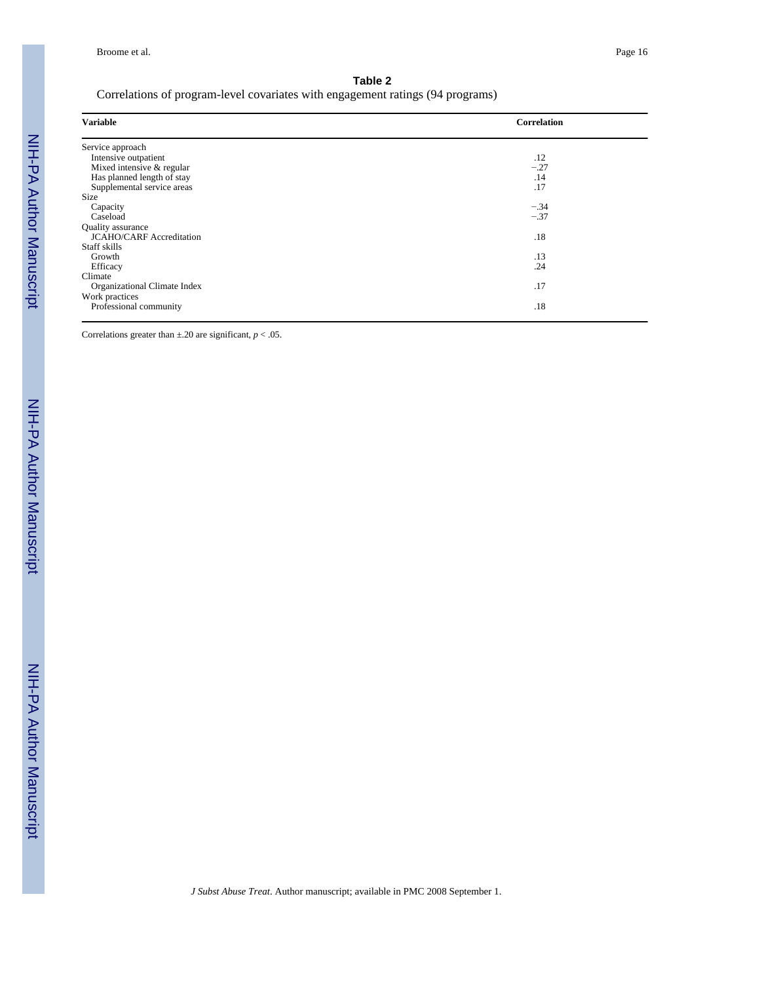Correlations of program-level covariates with engagement ratings (94 programs)

| <b>Variable</b>                 | Correlation |
|---------------------------------|-------------|
| Service approach                |             |
| Intensive outpatient            | .12         |
| Mixed intensive & regular       | $-.27$      |
| Has planned length of stay      | .14         |
| Supplemental service areas      | .17         |
| <b>Size</b>                     |             |
| Capacity                        | $-.34$      |
| Caseload                        | $-.37$      |
| Quality assurance               |             |
| <b>JCAHO/CARF</b> Accreditation | .18         |
| Staff skills                    |             |
| Growth                          | .13         |
| Efficacy                        | .24         |
| Climate                         |             |
| Organizational Climate Index    | .17         |
| Work practices                  |             |
| Professional community          | .18         |

Correlations greater than  $\pm$ .20 are significant,  $p < .05$ .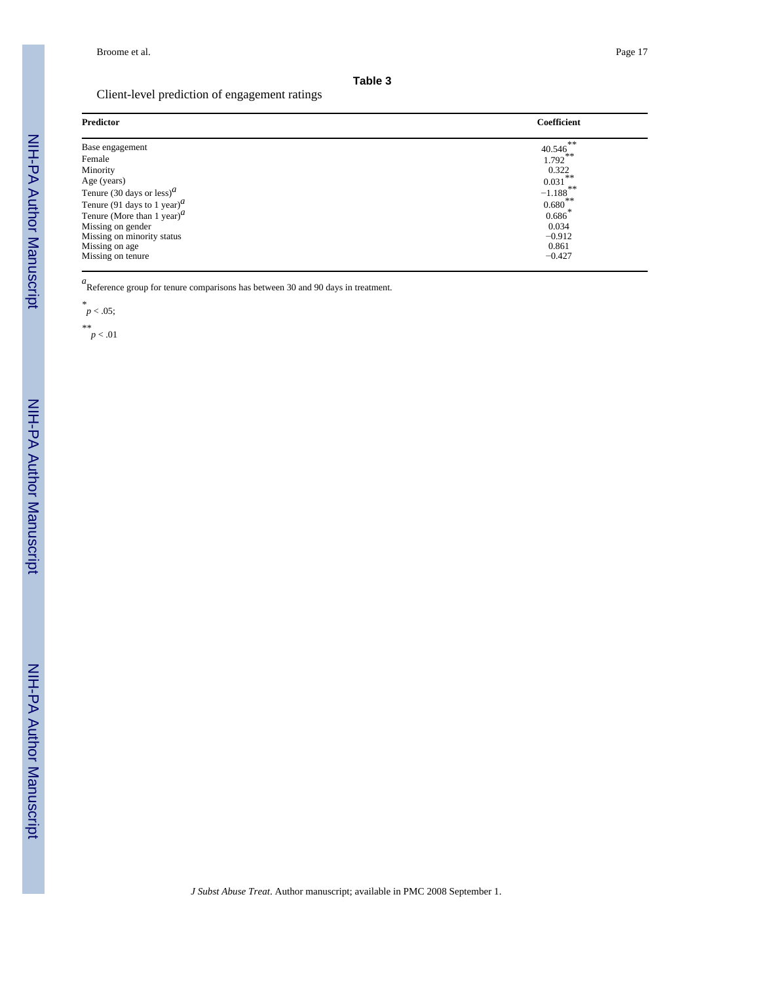#### Client-level prediction of engagement ratings

| <b>Predictor</b>                                   | Coefficient                                     |
|----------------------------------------------------|-------------------------------------------------|
| Base engagement                                    | $40.546$ <sup>**</sup><br>$1.792$ <sup>**</sup> |
| Female                                             |                                                 |
| Minority                                           | 0.322                                           |
| Age (years)                                        | 0.031                                           |
| Tenure (30 days or less) <sup><math>a</math></sup> | **<br>$-1.188$                                  |
| Tenure (91 days to 1 year) $^a$                    | ົ∗∗<br>0.680                                    |
| Tenure (More than 1 year) $^a$                     | ∗<br>0.686                                      |
| Missing on gender                                  | 0.034                                           |
| Missing on minority status                         | $-0.912$                                        |
| Missing on age                                     | 0.861                                           |
| Missing on tenure                                  | $-0.427$                                        |

*a*<br>
Reference group for tenure comparisons has between 30 and 90 days in treatment.

$$
^*_{p < .05}
$$

*\*\**  $p < .01$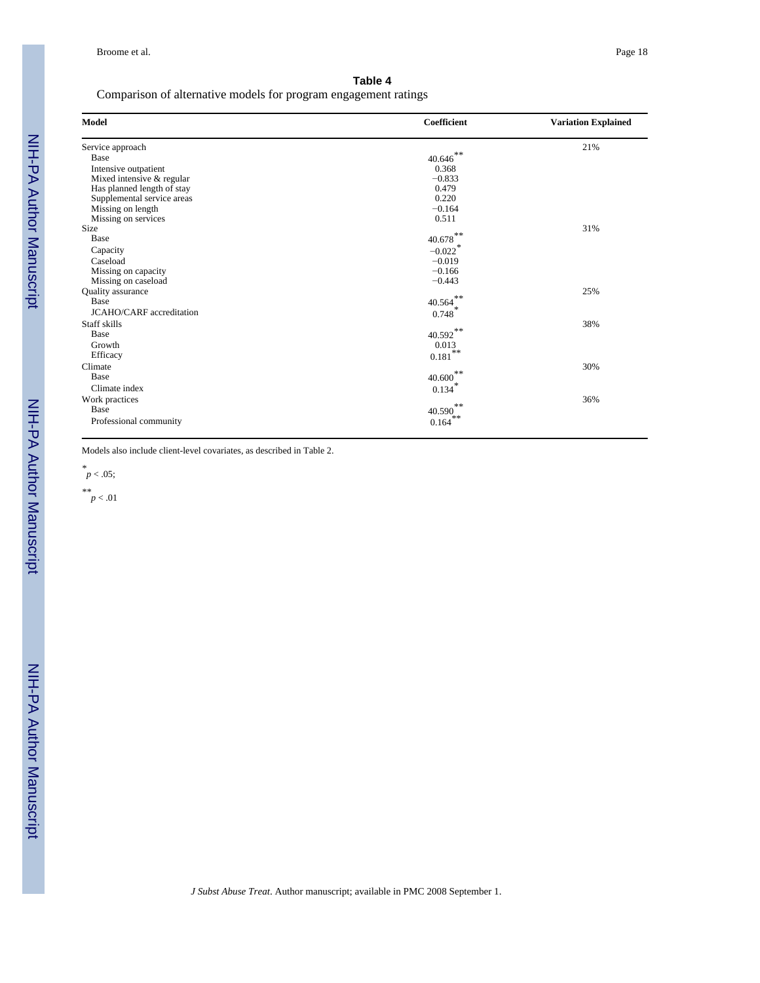Comparison of alternative models for program engagement ratings

| <b>Model</b>                    | Coefficient            | <b>Variation Explained</b> |
|---------------------------------|------------------------|----------------------------|
| Service approach                |                        | 21%                        |
| Base                            | $40.646$ <sup>**</sup> |                            |
| Intensive outpatient            | 0.368                  |                            |
| Mixed intensive & regular       | $-0.833$               |                            |
| Has planned length of stay      | 0.479                  |                            |
| Supplemental service areas      | 0.220                  |                            |
| Missing on length               | $-0.164$               |                            |
| Missing on services             | 0.511                  |                            |
| Size                            |                        | 31%                        |
| Base                            | $40.678^{**}$          |                            |
| Capacity                        | $-0.022$ <sup>*</sup>  |                            |
| Caseload                        | $-0.019$               |                            |
| Missing on capacity             | $-0.166$               |                            |
| Missing on caseload             | $-0.443$               |                            |
| Quality assurance               |                        | 25%                        |
| Base                            | $40.564$ **            |                            |
| <b>JCAHO/CARF</b> accreditation | 0.748                  |                            |
| Staff skills                    |                        | 38%                        |
| Base                            | $40.592$ **            |                            |
| Growth                          | 0.013                  |                            |
| Efficacy                        | $0.181$ **             |                            |
| Climate                         |                        | 30%                        |
| Base                            | $40.600$ <sup>**</sup> |                            |
|                                 |                        |                            |
| Climate index                   | 0.134                  |                            |
| Work practices                  | **                     | 36%                        |
| Base                            | 40.590<br>**           |                            |
| Professional community          | 0.164                  |                            |

Models also include client-level covariates, as described in Table 2.

*\* p* < .05;

*\*\* p* < .01

NIH-PA Author Manuscript

NIH-PA Author Manuscript

NIH-PA Author Manuscript

NIH-PA Author Manuscript